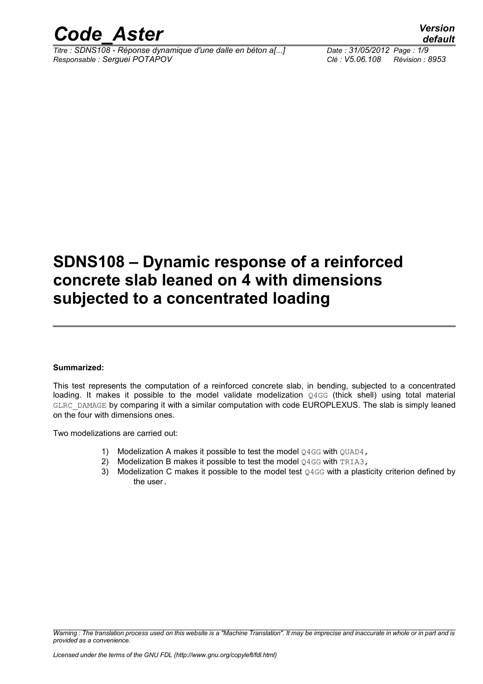

*Titre : SDNS108 - Réponse dynamique d'une dalle en béton a[...] Date : 31/05/2012 Page : 1/9 Responsable : Serguei POTAPOV Clé : V5.06.108 Révision : 8953*

# **SDNS108 – Dynamic response of a reinforced concrete slab leaned on 4 with dimensions subjected to a concentrated loading**

#### **Summarized:**

This test represents the computation of a reinforced concrete slab, in bending, subjected to a concentrated loading. It makes it possible to the model validate modelization Q4GG (thick shell) using total material GLRC\_DAMAGE by comparing it with a similar computation with code EUROPLEXUS. The slab is simply leaned on the four with dimensions ones.

Two modelizations are carried out:

- 1) Modelization A makes it possible to test the model  $Q4GG$  with  $QUAD4$ ,
- 2) Modelization B makes it possible to test the model  $Q4GG$  with TRIA3,
- 3) Modelization C makes it possible to the model test  $Q4GG$  with a plasticity criterion defined by the user.

*Warning : The translation process used on this website is a "Machine Translation". It may be imprecise and inaccurate in whole or in part and is provided as a convenience.*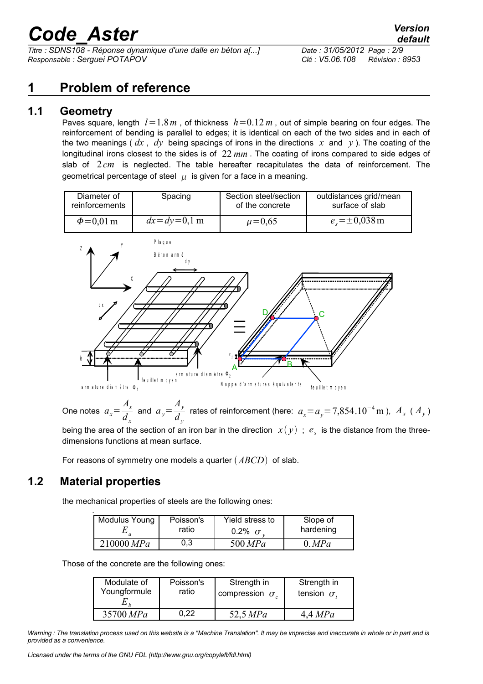*Titre : SDNS108 - Réponse dynamique d'une dalle en béton a[...] Date : 31/05/2012 Page : 2/9 Responsable : Serguei POTAPOV Clé : V5.06.108 Révision : 8953*

### **1 Problem of reference**

#### **1.1 Geometry**

Paves square, length  $l=1.8m$ , of thickness  $h=0.12 m$ , out of simple bearing on four edges. The reinforcement of bending is parallel to edges; it is identical on each of the two sides and in each of the two meanings ( $dx$ ,  $dy$  being spacings of irons in the directions  $x$  and  $y$ ). The coating of the longitudinal irons closest to the sides is of 22 *mm* . The coating of irons compared to side edges of slab of 2*cm* is neglected. The table hereafter recapitulates the data of reinforcement. The geometrical percentage of steel  $\mu$  is given for a face in a meaning.

| Diameter of     | Spacing           | Section steel/section | outdistances grid/mean           |
|-----------------|-------------------|-----------------------|----------------------------------|
| reinforcements  |                   | of the concrete       | surface of slab                  |
| $\Phi = 0.01$ m | $dx = dy = 0,1$ m | $\mu = 0.65$          | $e_{s} = \pm 0.038 \,\mathrm{m}$ |



One notes  $a_x =$ *Ax dx* and  $a_y =$ *Ay d y* rates of reinforcement (here:  $a_x = a_y = 7{,}854.10^{-4}$  m),  $A_x$  ( $A_y$ )

being the area of the section of an iron bar in the direction  $|x(y)|$  ;  $|e_s|$  is the distance from the threedimensions functions at mean surface.

For reasons of symmetry one models a quarter  $(ABCD)$  of slab.

#### **1.2 Material properties**

the mechanical properties of steels are the following ones:

| Modulus Young | Poisson's | Yield stress to | Slope of  |
|---------------|-----------|-----------------|-----------|
|               | ratio     | 0.2% $\sigma$   | hardening |
| 210000 MPa    | 0.3       | 500 MPa         | $0$ MPa   |

Those of the concrete are the following ones:

| Modulate of  | Poisson's | Strength in          | Strength in        |
|--------------|-----------|----------------------|--------------------|
| Youngformule | ratio     | compression $\sigma$ | tension $\sigma$ , |
| 35700 MPa    | 0.22      | 52,5 $MPa$           | 4 4 MPa            |

*Warning : The translation process used on this website is a "Machine Translation". It may be imprecise and inaccurate in whole or in part and is provided as a convenience.*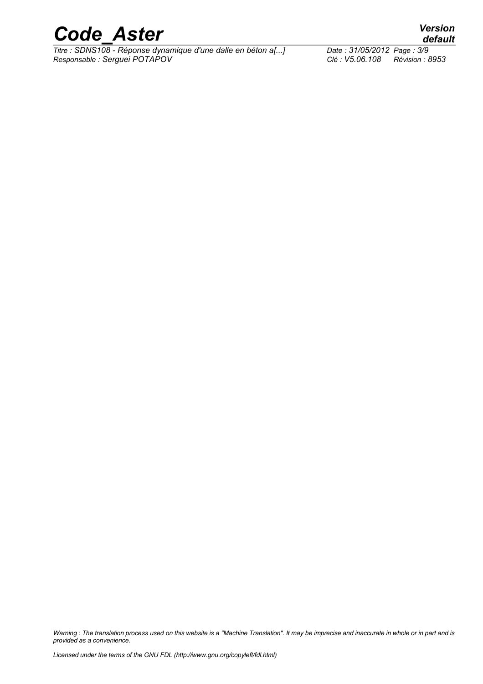

*Titre : SDNS108 - Réponse dynamique d'une dalle en béton a[...] Date : 31/05/2012 Page : 3/9 Responsable : Serguei POTAPOV Clé : V5.06.108 Révision : 8953*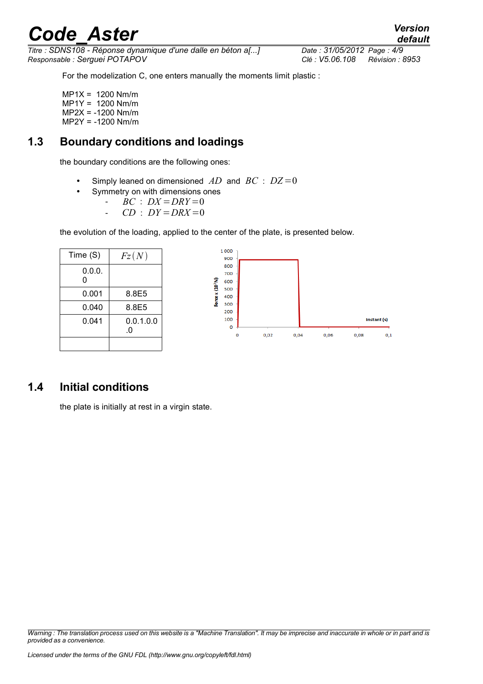*Titre : SDNS108 - Réponse dynamique d'une dalle en béton a[...] Date : 31/05/2012 Page : 4/9 Responsable : Serguei POTAPOV Clé : V5.06.108 Révision : 8953*

*default*

For the modelization C, one enters manually the moments limit plastic :

MP1X = 1200 Nm/m MP1Y = 1200 Nm/m MP2X = -1200 Nm/m MP2Y = -1200 Nm/m

#### **1.3 Boundary conditions and loadings**

the boundary conditions are the following ones:

- Simply leaned on dimensioned  $AD$  and  $BC : DZ = 0$
- Symmetry on with dimensions ones
	- $\overline{BC}$  :  $DX = DRY = 0$ 
		- $CD : DY = DRX = 0$

the evolution of the loading, applied to the center of the plate, is presented below.

| Time (S)    | FZ(N)                 |
|-------------|-----------------------|
| 0.0.0.<br>ი |                       |
| 0.001       | 8.8E5                 |
| 0.040       | 8.8E5                 |
| 0.041       | 0.0.1.0.0<br>$\Omega$ |
|             |                       |



#### **1.4 Initial conditions**

the plate is initially at rest in a virgin state.

*Warning : The translation process used on this website is a "Machine Translation". It may be imprecise and inaccurate in whole or in part and is provided as a convenience.*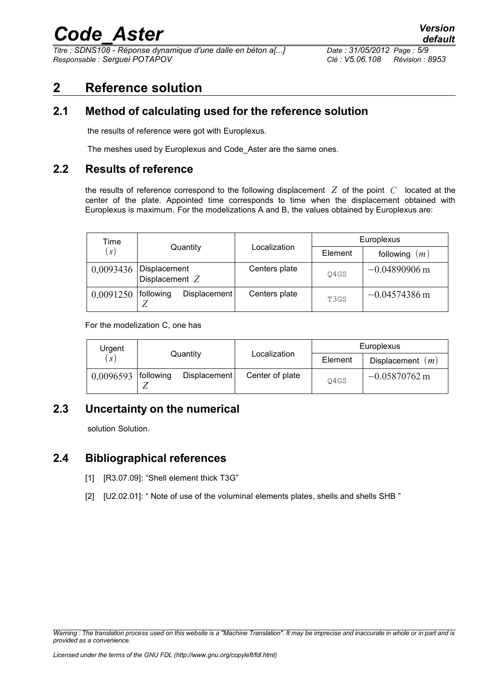*Titre : SDNS108 - Réponse dynamique d'une dalle en béton a[...] Date : 31/05/2012 Page : 5/9 Responsable : Serguei POTAPOV Clé : V5.06.108 Révision : 8953*

*default*

### **2 Reference solution**

#### **2.1 Method of calculating used for the reference solution**

the results of reference were got with Europlexus.

The meshes used by Europlexus and Code Aster are the same ones.

#### **2.2 Results of reference**

the results of reference correspond to the following displacement *Z* of the point *C* located at the center of the plate. Appointed time corresponds to time when the displacement obtained with Europlexus is maximum. For the modelizations A and B, the values obtained by Europlexus are:

| Time          |                                |               |         | Europlexus       |  |
|---------------|--------------------------------|---------------|---------|------------------|--|
| Quantity<br>S |                                | Localization  | Element | (m)<br>following |  |
| 0,0093436     | Displacement<br>Displacement Z | Centers plate | 04GS    | $-0.04890906$ m  |  |
| 0,0091250     | Displacement<br>following      | Centers plate | T3GS    | $-0.04574386$ m  |  |

For the modelization C, one has

| Urgent        |                           |                 | Europlexus |                         |  |
|---------------|---------------------------|-----------------|------------|-------------------------|--|
| $\mathcal{S}$ | Quantity                  | Localization    | Element    | Displacement<br>(m)     |  |
| 0,0096593     | following<br>Displacement | Center of plate | 04GS       | $-0.05870762 \text{ m}$ |  |

#### **2.3 Uncertainty on the numerical**

solution Solution.

#### **2.4 Bibliographical references**

- [1] [R3.07.09]: "Shell element thick T3G"
- [2] [U2.02.01]: " Note of use of the voluminal elements plates, shells and shells SHB "

*Warning : The translation process used on this website is a "Machine Translation". It may be imprecise and inaccurate in whole or in part and is provided as a convenience.*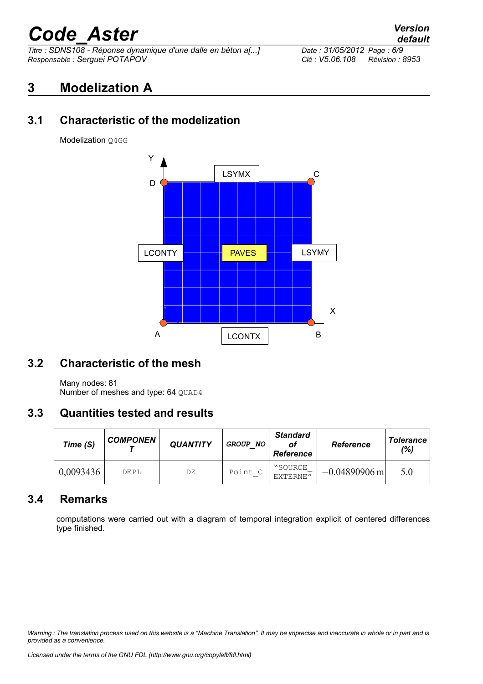*Titre : SDNS108 - Réponse dynamique d'une dalle en béton a[...] Date : 31/05/2012 Page : 6/9 Responsable : Serguei POTAPOV Clé : V5.06.108 Révision : 8953*

### **3 Modelization A**

#### **3.1 Characteristic of the modelization**

Modelization Q4GG



#### **3.2 Characteristic of the mesh**

Many nodes: 81 Number of meshes and type: 64 QUAD4

#### **3.3 Quantities tested and results**

| Time (S)  | <b>COMPONEN</b> | <b>QUANTITY</b> | <i>GROUP NO</i> | <b>Standard</b><br>оf<br><b>Reference</b> | <b>Reference</b> | <b>Tolerance</b><br>(%) |
|-----------|-----------------|-----------------|-----------------|-------------------------------------------|------------------|-------------------------|
| 0,0093436 | DEPL            | DZ.             | Point C         | "SOURCE<br>EXTERNE"                       | $-0.04890906$ m  | 5.0                     |

#### **3.4 Remarks**

computations were carried out with a diagram of temporal integration explicit of centered differences type finished.

*Warning : The translation process used on this website is a "Machine Translation". It may be imprecise and inaccurate in whole or in part and is provided as a convenience.*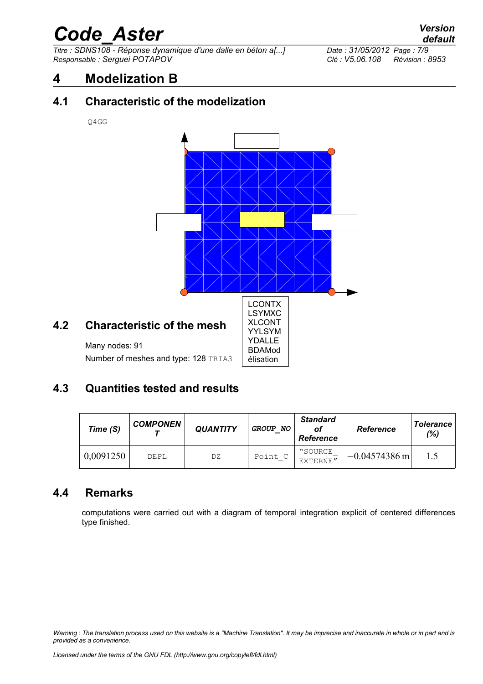*Titre : SDNS108 - Réponse dynamique d'une dalle en béton a[...] Date : 31/05/2012 Page : 7/9 Responsable : Serguei POTAPOV Clé : V5.06.108 Révision : 8953*

### **4 Modelization B**

#### **4.1 Characteristic of the modelization**





### **4.3 Quantities tested and results**

| Time (S)  | <b>COMPONEN</b> | <b>QUANTITY</b> | <b>GROUP NO</b> | <b>Standard</b><br>οf<br><b>Reference</b> | <b>Reference</b> | <b>Tolerance</b><br>(%) |
|-----------|-----------------|-----------------|-----------------|-------------------------------------------|------------------|-------------------------|
| 0.0091250 | DE PL           | DZ.             | Point C         | "SOURCE<br>EXTERNE"                       | $-0.04574386$ m  |                         |

#### **4.4 Remarks**

computations were carried out with a diagram of temporal integration explicit of centered differences type finished.

*Warning : The translation process used on this website is a "Machine Translation". It may be imprecise and inaccurate in whole or in part and is provided as a convenience.*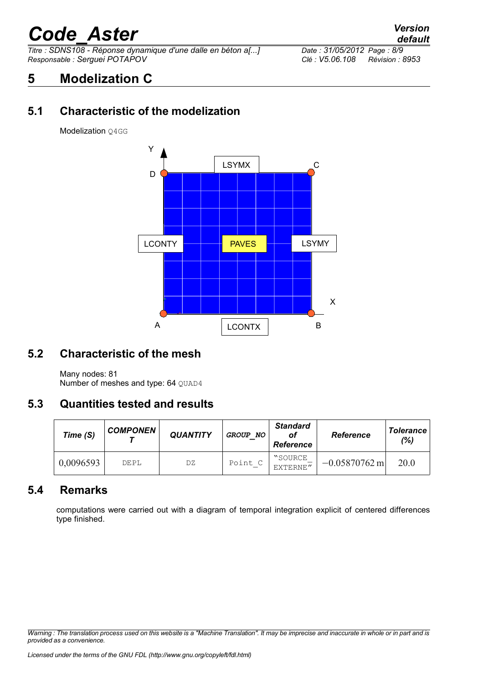*Titre : SDNS108 - Réponse dynamique d'une dalle en béton a[...] Date : 31/05/2012 Page : 8/9 Responsable : Serguei POTAPOV Clé : V5.06.108 Révision : 8953*

## **5 Modelization C**

### **5.1 Characteristic of the modelization**

Modelization Q4GG



#### **5.2 Characteristic of the mesh**

Many nodes: 81 Number of meshes and type: 64 QUAD4

#### **5.3 Quantities tested and results**

| Time (S)  | <b>COMPONEN</b> | <b>QUANTITY</b> | <i>GROUP NO</i> | <b>Standard</b><br>οf<br><b>Reference</b> | <b>Reference</b>        | <b>Tolerance</b><br>(%) |
|-----------|-----------------|-----------------|-----------------|-------------------------------------------|-------------------------|-------------------------|
| 0,0096593 | DEPL            | DZ.             | Point C         | "SOURCE<br>EXTERNE"                       | $-0.05870762 \text{ m}$ | 20.0                    |

#### **5.4 Remarks**

computations were carried out with a diagram of temporal integration explicit of centered differences type finished.

*Warning : The translation process used on this website is a "Machine Translation". It may be imprecise and inaccurate in whole or in part and is provided as a convenience.*